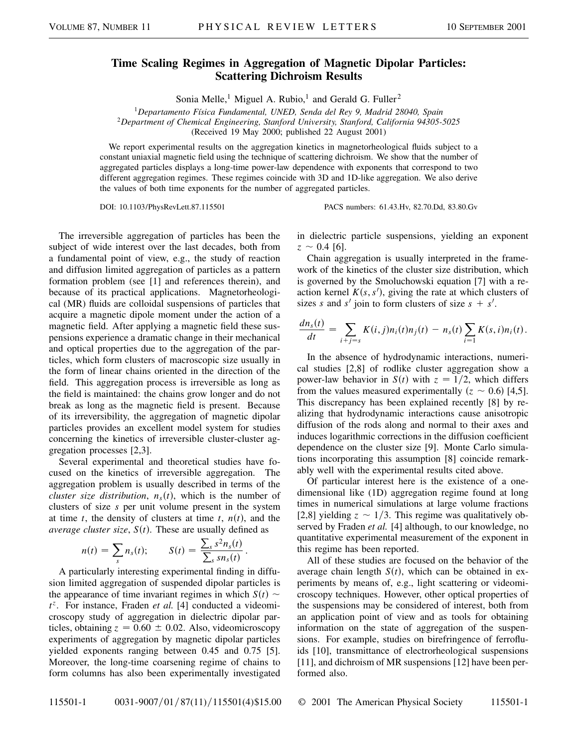## **Time Scaling Regimes in Aggregation of Magnetic Dipolar Particles: Scattering Dichroism Results**

Sonia Melle,<sup>1</sup> Miguel A. Rubio,<sup>1</sup> and Gerald G. Fuller<sup>2</sup>

<sup>1</sup>*Departamento Física Fundamental, UNED, Senda del Rey 9, Madrid 28040, Spain*

<sup>2</sup>*Department of Chemical Engineering, Stanford University, Stanford, California 94305-5025*

(Received 19 May 2000; published 22 August 2001)

We report experimental results on the aggregation kinetics in magnetorheological fluids subject to a constant uniaxial magnetic field using the technique of scattering dichroism. We show that the number of aggregated particles displays a long-time power-law dependence with exponents that correspond to two different aggregation regimes. These regimes coincide with 3D and 1D-like aggregation. We also derive the values of both time exponents for the number of aggregated particles.

DOI: 10.1103/PhysRevLett.87.115501 PACS numbers: 61.43.Hv, 82.70.Dd, 83.80.Gv

The irreversible aggregation of particles has been the subject of wide interest over the last decades, both from a fundamental point of view, e.g., the study of reaction and diffusion limited aggregation of particles as a pattern formation problem (see [1] and references therein), and because of its practical applications. Magnetorheological (MR) fluids are colloidal suspensions of particles that acquire a magnetic dipole moment under the action of a magnetic field. After applying a magnetic field these suspensions experience a dramatic change in their mechanical and optical properties due to the aggregation of the particles, which form clusters of macroscopic size usually in the form of linear chains oriented in the direction of the field. This aggregation process is irreversible as long as the field is maintained: the chains grow longer and do not break as long as the magnetic field is present. Because of its irreversibility, the aggregation of magnetic dipolar particles provides an excellent model system for studies concerning the kinetics of irreversible cluster-cluster aggregation processes [2,3].

Several experimental and theoretical studies have focused on the kinetics of irreversible aggregation. The aggregation problem is usually described in terms of the *cluster size distribution,*  $n_s(t)$ , which is the number of clusters of size *s* per unit volume present in the system at time *t*, the density of clusters at time *t*,  $n(t)$ , and the *average cluster size*,  $S(t)$ . These are usually defined as

$$
n(t) = \sum_{s} n_s(t); \qquad S(t) = \frac{\sum_{s} s^2 n_s(t)}{\sum_{s} s n_s(t)}.
$$

A particularly interesting experimental finding in diffusion limited aggregation of suspended dipolar particles is the appearance of time invariant regimes in which  $S(t)$  ~ *tz*. For instance, Fraden *et al.* [4] conducted a videomicroscopy study of aggregation in dielectric dipolar particles, obtaining  $z = 0.60 \pm 0.02$ . Also, videomicroscopy experiments of aggregation by magnetic dipolar particles yielded exponents ranging between 0.45 and 0.75 [5]. Moreover, the long-time coarsening regime of chains to form columns has also been experimentally investigated in dielectric particle suspensions, yielding an exponent  $z \sim 0.4$  [6].

Chain aggregation is usually interpreted in the framework of the kinetics of the cluster size distribution, which is governed by the Smoluchowski equation [7] with a reaction kernel  $K(s, s')$ , giving the rate at which clusters of sizes *s* and  $s'$  join to form clusters of size  $s + s'$ .

$$
\frac{dn_s(t)}{dt} = \sum_{i+j=s} K(i,j)n_i(t)n_j(t) - n_s(t) \sum_{i=1} K(s,i)n_i(t).
$$

In the absence of hydrodynamic interactions, numerical studies [2,8] of rodlike cluster aggregation show a power-law behavior in  $S(t)$  with  $z = 1/2$ , which differs from the values measured experimentally  $(z \sim 0.6)$  [4,5]. This discrepancy has been explained recently [8] by realizing that hydrodynamic interactions cause anisotropic diffusion of the rods along and normal to their axes and induces logarithmic corrections in the diffusion coefficient dependence on the cluster size [9]. Monte Carlo simulations incorporating this assumption [8] coincide remarkably well with the experimental results cited above.

Of particular interest here is the existence of a onedimensional like (1D) aggregation regime found at long times in numerical simulations at large volume fractions [2,8] yielding  $z \sim 1/3$ . This regime was qualitatively observed by Fraden *et al.* [4] although, to our knowledge, no quantitative experimental measurement of the exponent in this regime has been reported.

All of these studies are focused on the behavior of the average chain length  $S(t)$ , which can be obtained in experiments by means of, e.g., light scattering or videomicroscopy techniques. However, other optical properties of the suspensions may be considered of interest, both from an application point of view and as tools for obtaining information on the state of aggregation of the suspensions. For example, studies on birefringence of ferrofluids [10], transmittance of electrorheological suspensions [11], and dichroism of MR suspensions [12] have been performed also.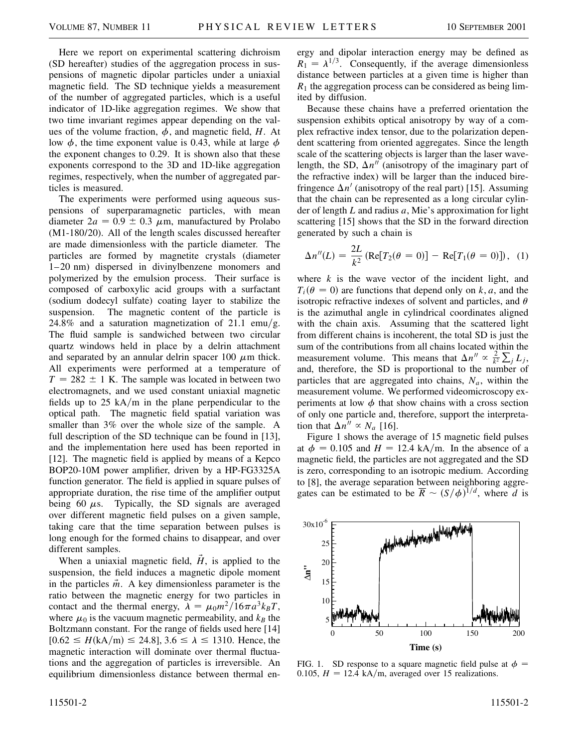Here we report on experimental scattering dichroism (SD hereafter) studies of the aggregation process in suspensions of magnetic dipolar particles under a uniaxial magnetic field. The SD technique yields a measurement of the number of aggregated particles, which is a useful indicator of 1D-like aggregation regimes. We show that two time invariant regimes appear depending on the values of the volume fraction,  $\phi$ , and magnetic field, *H*. At low  $\phi$ , the time exponent value is 0.43, while at large  $\phi$ the exponent changes to 0.29. It is shown also that these exponents correspond to the 3D and 1D-like aggregation regimes, respectively, when the number of aggregated particles is measured.

The experiments were performed using aqueous suspensions of superparamagnetic particles, with mean diameter  $2a = 0.9 \pm 0.3 \mu$ m, manufactured by Prolabo (M1-180/20). All of the length scales discussed hereafter are made dimensionless with the particle diameter. The particles are formed by magnetite crystals (diameter 1–20 nm) dispersed in divinylbenzene monomers and polymerized by the emulsion process. Their surface is composed of carboxylic acid groups with a surfactant (sodium dodecyl sulfate) coating layer to stabilize the suspension. The magnetic content of the particle is 24.8% and a saturation magnetization of 21.1 emu/g. The fluid sample is sandwiched between two circular quartz windows held in place by a delrin attachment and separated by an annular delrin spacer 100  $\mu$ m thick. All experiments were performed at a temperature of  $T = 282 \pm 1$  K. The sample was located in between two electromagnets, and we used constant uniaxial magnetic fields up to  $25 \text{ kA/m}$  in the plane perpendicular to the optical path. The magnetic field spatial variation was smaller than 3% over the whole size of the sample. A full description of the SD technique can be found in [13], and the implementation here used has been reported in [12]. The magnetic field is applied by means of a Kepco BOP20-10M power amplifier, driven by a HP-FG3325A function generator. The field is applied in square pulses of appropriate duration, the rise time of the amplifier output being 60  $\mu$ s. Typically, the SD signals are averaged over different magnetic field pulses on a given sample, taking care that the time separation between pulses is long enough for the formed chains to disappear, and over different samples.

When a uniaxial magnetic field,  $\vec{H}$ , is applied to the suspension, the field induces a magnetic dipole moment in the particles  $\vec{m}$ . A key dimensionless parameter is the ratio between the magnetic energy for two particles in contact and the thermal energy,  $\lambda = \mu_0 m^2 / 16 \pi a^3 k_B T$ , where  $\mu_0$  is the vacuum magnetic permeability, and  $k_B$  the Boltzmann constant. For the range of fields used here [14]  $[0.62 \le H(kA/m) \le 24.8]$ ,  $3.6 \le \lambda \le 1310$ . Hence, the magnetic interaction will dominate over thermal fluctuations and the aggregation of particles is irreversible. An equilibrium dimensionless distance between thermal en-

ergy and dipolar interaction energy may be defined as  $R_1 = \lambda^{1/3}$ . Consequently, if the average dimensionless distance between particles at a given time is higher than  $R_1$  the aggregation process can be considered as being limited by diffusion.

Because these chains have a preferred orientation the suspension exhibits optical anisotropy by way of a complex refractive index tensor, due to the polarization dependent scattering from oriented aggregates. Since the length scale of the scattering objects is larger than the laser wavelength, the SD,  $\Delta n''$  (anisotropy of the imaginary part of the refractive index) will be larger than the induced birefringence  $\Delta n'$  (anisotropy of the real part) [15]. Assuming that the chain can be represented as a long circular cylinder of length *L* and radius *a*, Mie's approximation for light scattering [15] shows that the SD in the forward direction generated by such a chain is

$$
\Delta n''(L) = \frac{2L}{k^2} (\text{Re}[T_2(\theta = 0)] - \text{Re}[T_1(\theta = 0)]), (1)
$$

where  $k$  is the wave vector of the incident light, and  $T_i(\theta = 0)$  are functions that depend only on *k*, *a*, and the isotropic refractive indexes of solvent and particles, and  $\theta$ is the azimuthal angle in cylindrical coordinates aligned with the chain axis. Assuming that the scattered light from different chains is incoherent, the total SD is just the sum of the contributions from all chains located within the measurement volume. This means that  $\Delta n^{\prime\prime} \propto \frac{2}{k^2}$  $\sum_{j}$   $L_j$ , and, therefore, the SD is proportional to the number of particles that are aggregated into chains,  $N_a$ , within the measurement volume. We performed videomicroscopy experiments at low  $\phi$  that show chains with a cross section of only one particle and, therefore, support the interpretation that  $\Delta n^{\prime\prime} \propto N_a$  [16].

Figure 1 shows the average of 15 magnetic field pulses at  $\phi = 0.105$  and  $H = 12.4$  kA/m. In the absence of a magnetic field, the particles are not aggregated and the SD is zero, corresponding to an isotropic medium. According to [8], the average separation between neighboring aggregates can be estimated to be  $\overline{R} \sim (S/\phi)^{1/d}$ , where *d* is



FIG. 1. SD response to a square magnetic field pulse at  $\phi =$ 0.105,  $H = 12.4$  kA/m, averaged over 15 realizations.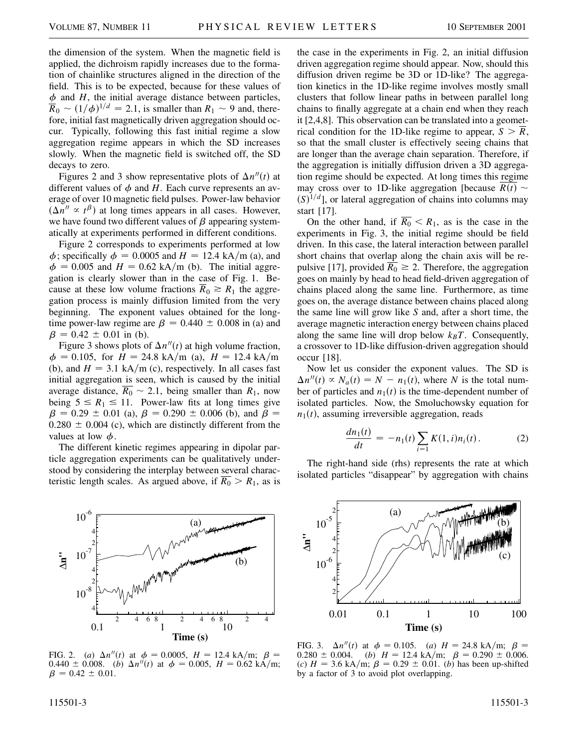the dimension of the system. When the magnetic field is applied, the dichroism rapidly increases due to the formation of chainlike structures aligned in the direction of the field. This is to be expected, because for these values of  $\phi$  and *H*, the initial average distance between particles,  $\overline{R}_0 \sim (1/\phi)^{1/d} = 2.1$ , is smaller than  $R_1 \sim 9$  and, therefore, initial fast magnetically driven aggregation should occur. Typically, following this fast initial regime a slow aggregation regime appears in which the SD increases slowly. When the magnetic field is switched off, the SD decays to zero.

Figures 2 and 3 show representative plots of  $\Delta n''(t)$  at different values of  $\phi$  and *H*. Each curve represents an average of over 10 magnetic field pulses. Power-law behavior  $(\Delta n^{\prime\prime} \propto t^{\beta})$  at long times appears in all cases. However, we have found two different values of  $\beta$  appearing systematically at experiments performed in different conditions.

Figure 2 corresponds to experiments performed at low  $\phi$ ; specifically  $\phi = 0.0005$  and  $H = 12.4$  kA/m (a), and  $\phi = 0.005$  and  $H = 0.62$  kA/m (b). The initial aggregation is clearly slower than in the case of Fig. 1. Because at these low volume fractions  $\overline{R}_0 \ge R_1$  the aggregation process is mainly diffusion limited from the very beginning. The exponent values obtained for the longtime power-law regime are  $\beta = 0.440 \pm 0.008$  in (a) and  $\beta = 0.42 \pm 0.01$  in (b).

Figure 3 shows plots of  $\Delta n''(t)$  at high volume fraction,  $\phi = 0.105$ , for  $H = 24.8$  kA/m (a),  $H = 12.4$  kA/m (b), and  $H = 3.1$  kA/m (c), respectively. In all cases fast initial aggregation is seen, which is caused by the initial average distance,  $\overline{R_0} \sim 2.1$ , being smaller than  $R_1$ , now being  $5 \le R_1 \le 11$ . Power-law fits at long times give  $\beta = 0.29 \pm 0.01$  (a),  $\beta = 0.290 \pm 0.006$  (b), and  $\beta =$  $0.280 \pm 0.004$  (c), which are distinctly different from the values at low  $\phi$ .

The different kinetic regimes appearing in dipolar particle aggregation experiments can be qualitatively understood by considering the interplay between several characteristic length scales. As argued above, if  $R_0 > R_1$ , as is



FIG. 2. (*a*)  $\Delta n''(t)$  at  $\phi = 0.0005$ ,  $H = 12.4$  kA/m;  $\beta =$ 0.440  $\pm$  0.008. (*b*)  $\Delta n''(t)$  at  $\phi = 0.005$ ,  $H = 0.62$  kA/m;  $\beta = 0.42 \pm 0.01$ .

diffusion driven regime be 3D or 1D-like? The aggregation kinetics in the 1D-like regime involves mostly small clusters that follow linear paths in between parallel long chains to finally aggregate at a chain end when they reach it [2,4,8]. This observation can be translated into a geometrical condition for the 1D-like regime to appear,  $S > R$ , so that the small cluster is effectively seeing chains that are longer than the average chain separation. Therefore, if the aggregation is initially diffusion driven a 3D aggregation regime should be expected. At long times this regime may cross over to 1D-like aggregation [because  $R(t)$  ~  $(S)^{1/d}$ ], or lateral aggregation of chains into columns may start [17]. On the other hand, if  $\overline{R_0} < R_1$ , as is the case in the

the case in the experiments in Fig. 2, an initial diffusion driven aggregation regime should appear. Now, should this

experiments in Fig. 3, the initial regime should be field driven. In this case, the lateral interaction between parallel short chains that overlap along the chain axis will be repulsive [17], provided  $\overline{R_0} \ge 2$ . Therefore, the aggregation goes on mainly by head to head field-driven aggregation of chains placed along the same line. Furthermore, as time goes on, the average distance between chains placed along the same line will grow like *S* and, after a short time, the average magnetic interaction energy between chains placed along the same line will drop below  $k_B T$ . Consequently, a crossover to 1D-like diffusion-driven aggregation should occur [18].

Now let us consider the exponent values. The SD is  $\Delta n''(t) \propto N_a(t) = N - n_1(t)$ , where *N* is the total number of particles and  $n_1(t)$  is the time-dependent number of isolated particles. Now, the Smoluchowsky equation for  $n_1(t)$ , assuming irreversible aggregation, reads

$$
\frac{dn_1(t)}{dt} = -n_1(t) \sum_{i=1} K(1, i)n_i(t).
$$
 (2)

The right-hand side (rhs) represents the rate at which isolated particles "disappear" by aggregation with chains



FIG. 3.  $\Delta n''(t)$  at  $\phi = 0.105$ . (*a*)  $H = 24.8$  kA/m;  $\beta =$  $0.280 \pm 0.004.$  (*b*)  $H = 12.4$  kA/m;  $\beta = 0.290 \pm 0.006.$ (*c*)  $H = 3.6 \text{ kA/m}$ ;  $\beta = 0.29 \pm 0.01$ . (*b*) has been up-shifted by a factor of 3 to avoid plot overlapping.